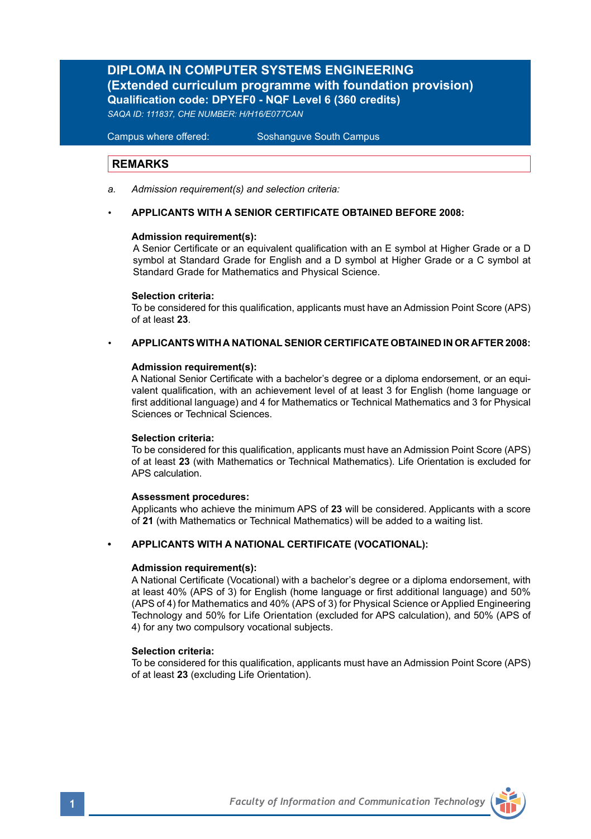**DIPLOMA IN COMPUTER SYSTEMS ENGINEERING (Extended curriculum programme with foundation provision) Qualification code: DPYEF0 - NQF Level 6 (360 credits)** 

*SAQA ID: 111837, CHE NUMBER: H/H16/E077CAN*

Campus where offered: Soshanguve South Campus

### **REMARKS**

*a. Admission requirement(s) and selection criteria:*

#### *•* **APPLICANTS WITH A SENIOR CERTIFICATE OBTAINED BEFORE 2008:**

#### **Admission requirement(s):**

A Senior Certificate or an equivalent qualification with an E symbol at Higher Grade or a D symbol at Standard Grade for English and a D symbol at Higher Grade or a C symbol at Standard Grade for Mathematics and Physical Science.

#### **Selection criteria:**

To be considered for this qualification, applicants must have an Admission Point Score (APS) of at least **23**.

#### *•* **APPLICANTS WITH A NATIONAL SENIOR CERTIFICATE OBTAINED IN OR AFTER 2008:**

#### **Admission requirement(s):**

A National Senior Certificate with a bachelor's degree or a diploma endorsement, or an equivalent qualification, with an achievement level of at least 3 for English (home language or first additional language) and 4 for Mathematics or Technical Mathematics and 3 for Physical Sciences or Technical Sciences.

#### **Selection criteria:**

To be considered for this qualification, applicants must have an Admission Point Score (APS) of at least **23** (with Mathematics or Technical Mathematics). Life Orientation is excluded for APS calculation.

#### **Assessment procedures:**

 Applicants who achieve the minimum APS of **23** will be considered. Applicants with a score of **21** (with Mathematics or Technical Mathematics) will be added to a waiting list.

#### **• APPLICANTS WITH A NATIONAL CERTIFICATE (VOCATIONAL):**

#### **Admission requirement(s):**

A National Certificate (Vocational) with a bachelor's degree or a diploma endorsement, with at least 40% (APS of 3) for English (home language or first additional language) and 50% (APS of 4) for Mathematics and 40% (APS of 3) for Physical Science or Applied Engineering Technology and 50% for Life Orientation (excluded for APS calculation), and 50% (APS of 4) for any two compulsory vocational subjects.

#### **Selection criteria:**

To be considered for this qualification, applicants must have an Admission Point Score (APS) of at least **23** (excluding Life Orientation).

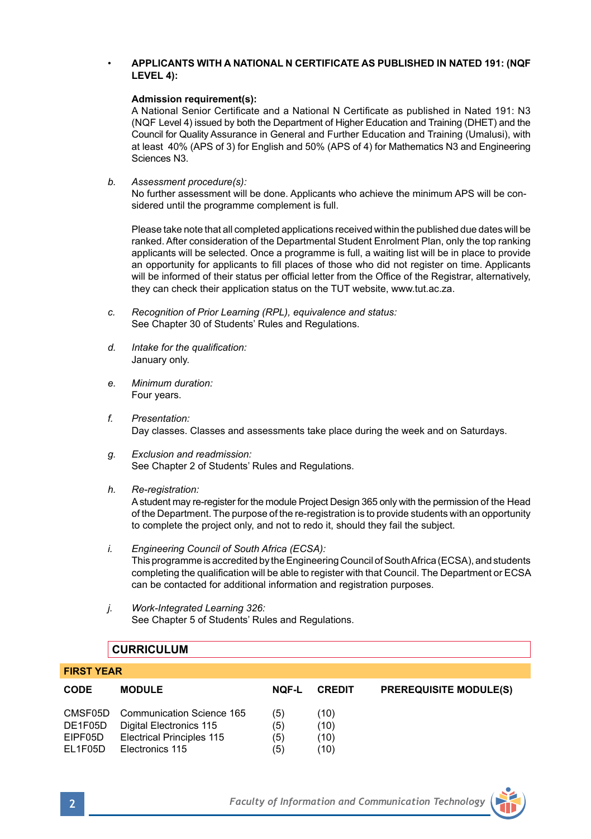### • **APPLICANTS WITH A NATIONAL N CERTIFICATE AS PUBLISHED IN NATED 191: (NQF LEVEL 4):**

#### **Admission requirement(s):**

A National Senior Certificate and a National N Certificate as published in Nated 191: N3 (NQF Level 4) issued by both the Department of Higher Education and Training (DHET) and the Council for Quality Assurance in General and Further Education and Training (Umalusi), with at least 40% (APS of 3) for English and 50% (APS of 4) for Mathematics N3 and Engineering Sciences N3.

*b. Assessment procedure(s):*

No further assessment will be done. Applicants who achieve the minimum APS will be con sidered until the programme complement is full.

Please take note that all completed applications received within the published due dates will be ranked. After consideration of the Departmental Student Enrolment Plan, only the top ranking applicants will be selected. Once a programme is full, a waiting list will be in place to provide an opportunity for applicants to fill places of those who did not register on time. Applicants will be informed of their status per official letter from the Office of the Registrar, alternatively, they can check their application status on the TUT website, www.tut.ac.za.

- *c. Recognition of Prior Learning (RPL), equivalence and status:* See Chapter 30 of Students' Rules and Regulations.
- *d. Intake for the qualification:*  January only.
- *e. Minimum duration:* Four years.
- *f. Presentation:*  Day classes. Classes and assessments take place during the week and on Saturdays.
- *g. Exclusion and readmission:* See Chapter 2 of Students' Rules and Regulations.
- *h. Re-registration:*

A student may re-register for the module Project Design 365 only with the permission of the Head of the Department. The purpose of the re-registration is to provide students with an opportunity to complete the project only, and not to redo it, should they fail the subject.

- *i. Engineering Council of South Africa (ECSA):* This programme is accredited by the Engineering Council of South Africa (ECSA), and students completing the qualification will be able to register with that Council. The Department or ECSA can be contacted for additional information and registration purposes.
- *j. Work-Integrated Learning 326:* See Chapter 5 of Students' Rules and Regulations.

# **CURRICULUM**

#### **FIRST YEAR**

| <b>CODE</b> | <b>MODULE</b>                    | <b>NOF-L</b> | <b>CREDIT</b> | <b>PREREQUISITE MODULE(S)</b> |
|-------------|----------------------------------|--------------|---------------|-------------------------------|
| CMSF05D     | Communication Science 165        | (5)          | (10)          |                               |
| DE1F05D     | Digital Electronics 115          | (5)          | (10)          |                               |
| EIPF05D     | <b>Electrical Principles 115</b> | (5)          | (10)          |                               |
| EL1F05D     | Electronics 115                  | (5)          | (10)          |                               |

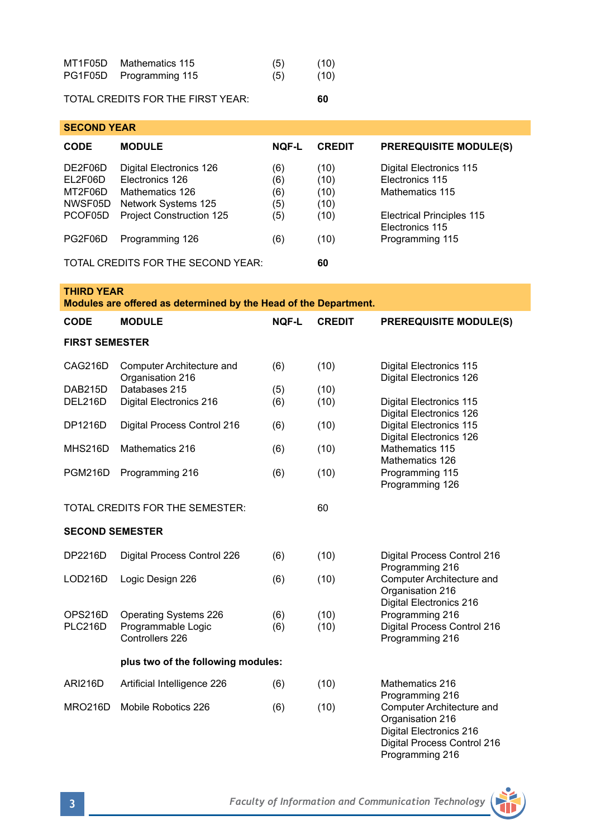| MT1F05D | Mathematics 115 | (5) | (10) |
|---------|-----------------|-----|------|
| PG1F05D | Programming 115 | (5) | (10) |

# TOTAL CREDITS FOR THE FIRST YEAR: **60**

| <b>SECOND YEAR</b>                                  |                                                                                                                  |                                 |                                      |                                                                                                   |  |
|-----------------------------------------------------|------------------------------------------------------------------------------------------------------------------|---------------------------------|--------------------------------------|---------------------------------------------------------------------------------------------------|--|
| <b>CODE</b>                                         | <b>MODULE</b>                                                                                                    | <b>NOF-L</b>                    | <b>CREDIT</b>                        | <b>PREREQUISITE MODULE(S)</b>                                                                     |  |
| DE2F06D<br>EL2F06D<br>MT2F06D<br>NWSF05D<br>PCOF05D | Digital Electronics 126<br>Electronics 126<br>Mathematics 126<br>Network Systems 125<br>Project Construction 125 | (6)<br>(6)<br>(6)<br>(5)<br>(5) | (10)<br>(10)<br>(10)<br>(10)<br>(10) | Digital Electronics 115<br>Electronics 115<br>Mathematics 115<br><b>Electrical Principles 115</b> |  |
| PG2F06D                                             | Programming 126<br>TOTAL CREDITS FOR THE SECOND YEAR:                                                            | (6)                             | (10)<br>60                           | Flectronics 115<br>Programming 115                                                                |  |

#### **THIRD YEAR**

**Modules are offered as determined by the Head of the Department.**

| <b>CODE</b>                           | <b>MODULE</b>                                                  | <b>NQF-L</b> | <b>CREDIT</b> | <b>PREREQUISITE MODULE(S)</b>                                                                                              |  |  |
|---------------------------------------|----------------------------------------------------------------|--------------|---------------|----------------------------------------------------------------------------------------------------------------------------|--|--|
| <b>FIRST SEMESTER</b>                 |                                                                |              |               |                                                                                                                            |  |  |
| CAG216D                               | Computer Architecture and<br>Organisation 216                  | (6)          | (10)          | Digital Electronics 115<br>Digital Electronics 126                                                                         |  |  |
| DAB215D<br><b>DEL216D</b>             | Databases 215<br>Digital Electronics 216                       | (5)<br>(6)   | (10)<br>(10)  | Digital Electronics 115<br>Digital Electronics 126                                                                         |  |  |
| DP1216D                               | Digital Process Control 216                                    | (6)          | (10)          | Digital Electronics 115<br>Digital Electronics 126                                                                         |  |  |
| <b>MHS216D</b>                        | Mathematics 216                                                | (6)          | (10)          | Mathematics 115<br>Mathematics 126                                                                                         |  |  |
| <b>PGM216D</b>                        | Programming 216                                                | (6)          | (10)          | Programming 115<br>Programming 126                                                                                         |  |  |
| TOTAL CREDITS FOR THE SEMESTER:<br>60 |                                                                |              |               |                                                                                                                            |  |  |
| <b>SECOND SEMESTER</b>                |                                                                |              |               |                                                                                                                            |  |  |
| DP2216D                               | Digital Process Control 226                                    | (6)          | (10)          | Digital Process Control 216<br>Programming 216                                                                             |  |  |
| LOD216D                               | Logic Design 226                                               | (6)          | (10)          | Computer Architecture and<br>Organisation 216<br>Digital Electronics 216                                                   |  |  |
| OPS216D<br><b>PLC216D</b>             | Operating Systems 226<br>Programmable Logic<br>Controllers 226 | (6)<br>(6)   | (10)<br>(10)  | Programming 216<br>Digital Process Control 216<br>Programming 216                                                          |  |  |
| plus two of the following modules:    |                                                                |              |               |                                                                                                                            |  |  |
| <b>ARI216D</b>                        | Artificial Intelligence 226                                    | (6)          | (10)          | Mathematics 216                                                                                                            |  |  |
| <b>MRO216D</b>                        | Mobile Robotics 226                                            | (6)          | (10)          | Programming 216<br>Computer Architecture and<br>Organisation 216<br>Digital Electronics 216<br>Digital Process Control 216 |  |  |

Programming 216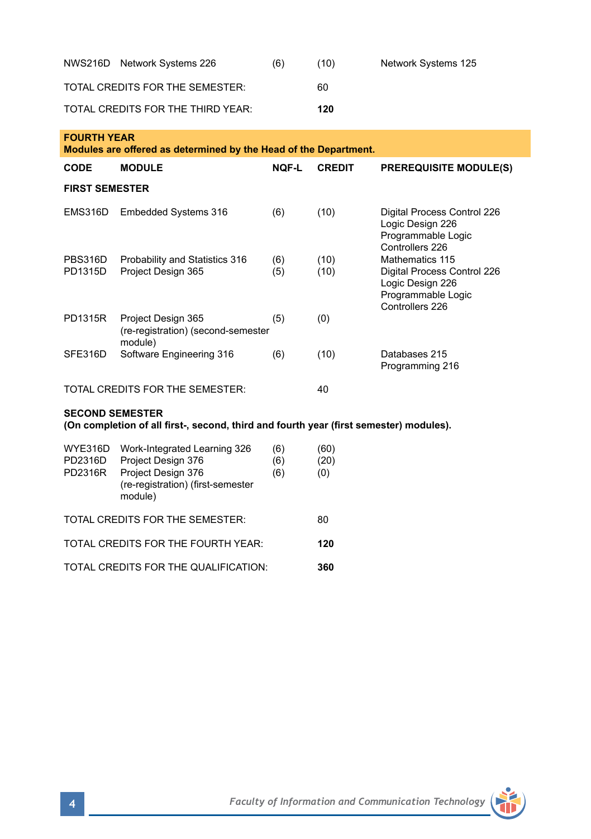| NWS216D Network Systems 226       | (6) | (10) | Network Systems 125 |
|-----------------------------------|-----|------|---------------------|
| TOTAL CREDITS FOR THE SEMESTER:   |     | 60   |                     |
| TOTAL CREDITS FOR THE THIRD YEAR: |     | 120  |                     |
| <b>FOURTH YEAR</b>                |     |      |                     |

| Modules are offered as determined by the Head of the Department. |                                                                     |              |               |                                                                                                             |  |
|------------------------------------------------------------------|---------------------------------------------------------------------|--------------|---------------|-------------------------------------------------------------------------------------------------------------|--|
| <b>CODE</b>                                                      | <b>MODULE</b>                                                       | <b>NQF-L</b> | <b>CREDIT</b> | <b>PREREQUISITE MODULE(S)</b>                                                                               |  |
| <b>FIRST SEMESTER</b>                                            |                                                                     |              |               |                                                                                                             |  |
| EMS316D                                                          | Embedded Systems 316                                                | (6)          | (10)          | Digital Process Control 226<br>Logic Design 226<br>Programmable Logic<br>Controllers 226                    |  |
| PBS316D<br>PD1315D                                               | Probability and Statistics 316<br>Project Design 365                | (6)<br>(5)   | (10)<br>(10)  | Mathematics 115<br>Digital Process Control 226<br>Logic Design 226<br>Programmable Logic<br>Controllers 226 |  |
| PD1315R                                                          | Project Design 365<br>(re-registration) (second-semester<br>module) | (5)          | (0)           |                                                                                                             |  |
| SFE316D                                                          | Software Engineering 316                                            | (6)          | (10)          | Databases 215<br>Programming 216                                                                            |  |
| TOTAL CREDITS FOR THE SEMESTER:                                  |                                                                     |              | 40            |                                                                                                             |  |

#### **SECOND SEMESTER**

**(On completion of all first-, second, third and fourth year (first semester) modules).**

| WYE316D<br>PD2316D<br>PD2316R | Work-Integrated Learning 326<br>Project Design 376<br>Project Design 376<br>(re-registration) (first-semester<br>module) | (6)<br>(6)<br>(6) | (60)<br>(20)<br>(0) |
|-------------------------------|--------------------------------------------------------------------------------------------------------------------------|-------------------|---------------------|
|                               | TOTAL CREDITS FOR THE SEMESTER.                                                                                          |                   | 80                  |
|                               | TOTAL CREDITS FOR THE FOURTH YEAR:                                                                                       |                   | 120                 |
|                               | TOTAL CREDITS FOR THE QUALIFICATION:                                                                                     |                   | 360                 |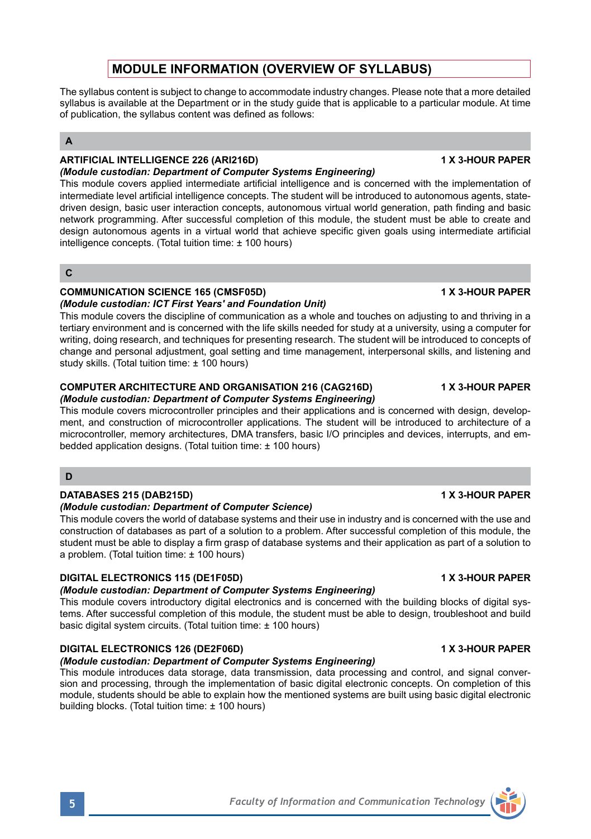# **MODULE INFORMATION (OVERVIEW OF SYLLABUS)**

The syllabus content is subject to change to accommodate industry changes. Please note that a more detailed syllabus is available at the Department or in the study guide that is applicable to a particular module. At time of publication, the syllabus content was defined as follows:

# **A**

# **ARTIFICIAL INTELLIGENCE 226 (ARI216D) 1 X 3-HOUR PAPER**

*(Module custodian: Department of Computer Systems Engineering)* This module covers applied intermediate artificial intelligence and is concerned with the implementation of intermediate level artificial intelligence concepts. The student will be introduced to autonomous agents, statedriven design, basic user interaction concepts, autonomous virtual world generation, path finding and basic network programming. After successful completion of this module, the student must be able to create and design autonomous agents in a virtual world that achieve specific given goals using intermediate artificial intelligence concepts. (Total tuition time: ± 100 hours)

# **C**

# **COMMUNICATION SCIENCE 165 (CMSF05D) 1 X 3-HOUR PAPER**

### *(Module custodian: ICT First Years' and Foundation Unit)*

This module covers the discipline of communication as a whole and touches on adjusting to and thriving in a tertiary environment and is concerned with the life skills needed for study at a university, using a computer for writing, doing research, and techniques for presenting research. The student will be introduced to concepts of change and personal adjustment, goal setting and time management, interpersonal skills, and listening and study skills. (Total tuition time: ± 100 hours)

# **COMPUTER ARCHITECTURE AND ORGANISATION 216 (CAG216D) 1 X 3-HOUR PAPER**

### *(Module custodian: Department of Computer Systems Engineering)*

This module covers microcontroller principles and their applications and is concerned with design, development, and construction of microcontroller applications. The student will be introduced to architecture of a microcontroller, memory architectures, DMA transfers, basic I/O principles and devices, interrupts, and embedded application designs. (Total tuition time: ± 100 hours)

# **D**

# **DATABASES 215 (DAB215D) 1 X 3-HOUR PAPER**

#### *(Module custodian: Department of Computer Science)*

This module covers the world of database systems and their use in industry and is concerned with the use and construction of databases as part of a solution to a problem. After successful completion of this module, the student must be able to display a firm grasp of database systems and their application as part of a solution to a problem. (Total tuition time: ± 100 hours)

# **DIGITAL ELECTRONICS 115 (DE1F05D) 1 X 3-HOUR PAPER**

# *(Module custodian: Department of Computer Systems Engineering)*

This module covers introductory digital electronics and is concerned with the building blocks of digital systems. After successful completion of this module, the student must be able to design, troubleshoot and build basic digital system circuits. (Total tuition time: ± 100 hours)

# **DIGITAL ELECTRONICS 126 (DE2F06D) 1 X 3-HOUR PAPER**

# *(Module custodian: Department of Computer Systems Engineering)*

This module introduces data storage, data transmission, data processing and control, and signal conversion and processing, through the implementation of basic digital electronic concepts. On completion of this module, students should be able to explain how the mentioned systems are built using basic digital electronic building blocks. (Total tuition time: ± 100 hours)

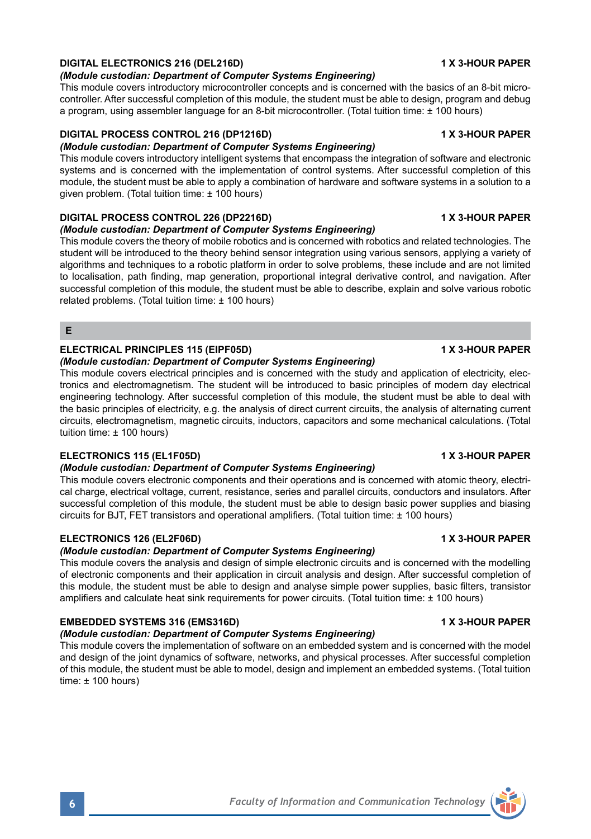# **DIGITAL ELECTRONICS 216 (DEL216D) 1 X 3-HOUR PAPER**

# *(Module custodian: Department of Computer Systems Engineering)*

This module covers introductory microcontroller concepts and is concerned with the basics of an 8-bit microcontroller. After successful completion of this module, the student must be able to design, program and debug a program, using assembler language for an 8-bit microcontroller. (Total tuition time: ± 100 hours)

# **DIGITAL PROCESS CONTROL 216 (DP1216D) 1 X 3-HOUR PAPER**

# *(Module custodian: Department of Computer Systems Engineering)*

This module covers introductory intelligent systems that encompass the integration of software and electronic systems and is concerned with the implementation of control systems. After successful completion of this module, the student must be able to apply a combination of hardware and software systems in a solution to a given problem. (Total tuition time: ± 100 hours)

# **DIGITAL PROCESS CONTROL 226 (DP2216D) 1 X 3-HOUR PAPER**

# *(Module custodian: Department of Computer Systems Engineering)*

This module covers the theory of mobile robotics and is concerned with robotics and related technologies. The student will be introduced to the theory behind sensor integration using various sensors, applying a variety of algorithms and techniques to a robotic platform in order to solve problems, these include and are not limited to localisation, path finding, map generation, proportional integral derivative control, and navigation. After successful completion of this module, the student must be able to describe, explain and solve various robotic related problems. (Total tuition time: ± 100 hours)

# **E**

# **ELECTRICAL PRINCIPLES 115 (EIPF05D) 1 X 3-HOUR PAPER**

### *(Module custodian: Department of Computer Systems Engineering)*

This module covers electrical principles and is concerned with the study and application of electricity, electronics and electromagnetism. The student will be introduced to basic principles of modern day electrical engineering technology. After successful completion of this module, the student must be able to deal with the basic principles of electricity, e.g. the analysis of direct current circuits, the analysis of alternating current circuits, electromagnetism, magnetic circuits, inductors, capacitors and some mechanical calculations. (Total tuition time: ± 100 hours)

# **ELECTRONICS 115 (EL1F05D) 1 X 3-HOUR PAPER**

#### *(Module custodian: Department of Computer Systems Engineering)*

This module covers electronic components and their operations and is concerned with atomic theory, electrical charge, electrical voltage, current, resistance, series and parallel circuits, conductors and insulators. After successful completion of this module, the student must be able to design basic power supplies and biasing circuits for BJT, FET transistors and operational amplifiers. (Total tuition time: ± 100 hours)

# **ELECTRONICS 126 (EL2F06D) 1 X 3-HOUR PAPER**

# *(Module custodian: Department of Computer Systems Engineering)*

This module covers the analysis and design of simple electronic circuits and is concerned with the modelling of electronic components and their application in circuit analysis and design. After successful completion of this module, the student must be able to design and analyse simple power supplies, basic filters, transistor amplifiers and calculate heat sink requirements for power circuits. (Total tuition time: ± 100 hours)

# **EMBEDDED SYSTEMS 316 (EMS316D) 1 X 3-HOUR PAPER**

# *(Module custodian: Department of Computer Systems Engineering)*

This module covers the implementation of software on an embedded system and is concerned with the model and design of the joint dynamics of software, networks, and physical processes. After successful completion of this module, the student must be able to model, design and implement an embedded systems. (Total tuition time: ± 100 hours)

![](_page_5_Picture_26.jpeg)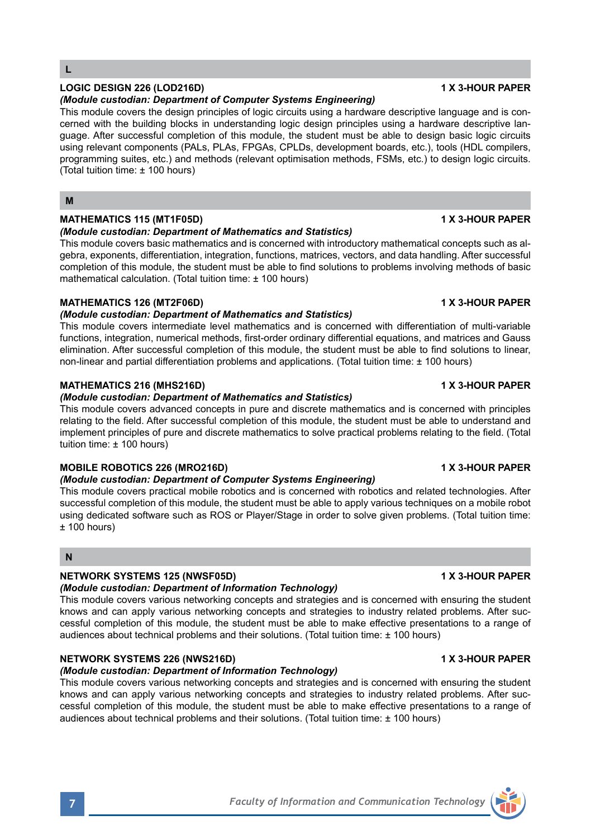# **LOGIC DESIGN 226 (LOD216D) 1 X 3-HOUR PAPER**

#### *(Module custodian: Department of Computer Systems Engineering)*

This module covers the design principles of logic circuits using a hardware descriptive language and is concerned with the building blocks in understanding logic design principles using a hardware descriptive language. After successful completion of this module, the student must be able to design basic logic circuits using relevant components (PALs, PLAs, FPGAs, CPLDs, development boards, etc.), tools (HDL compilers, programming suites, etc.) and methods (relevant optimisation methods, FSMs, etc.) to design logic circuits. (Total tuition time: ± 100 hours)

### **M**

# **MATHEMATICS 115 (MT1F05D) 1 X 3-HOUR PAPER**

#### *(Module custodian: Department of Mathematics and Statistics)*

This module covers basic mathematics and is concerned with introductory mathematical concepts such as algebra, exponents, differentiation, integration, functions, matrices, vectors, and data handling. After successful completion of this module, the student must be able to find solutions to problems involving methods of basic mathematical calculation. (Total tuition time: ± 100 hours)

# **MATHEMATICS 126 (MT2F06D) 1 X 3-HOUR PAPER**

### *(Module custodian: Department of Mathematics and Statistics)*

This module covers intermediate level mathematics and is concerned with differentiation of multi-variable functions, integration, numerical methods, first-order ordinary differential equations, and matrices and Gauss elimination. After successful completion of this module, the student must be able to find solutions to linear non-linear and partial differentiation problems and applications. (Total tuition time: ± 100 hours)

# **MATHEMATICS 216 (MHS216D) 1 X 3-HOUR PAPER**

### *(Module custodian: Department of Mathematics and Statistics)*

This module covers advanced concepts in pure and discrete mathematics and is concerned with principles relating to the field. After successful completion of this module, the student must be able to understand and implement principles of pure and discrete mathematics to solve practical problems relating to the field. (Total tuition time: ± 100 hours)

# **MOBILE ROBOTICS 226 (MRO216D) 1 X 3-HOUR PAPER**

#### *(Module custodian: Department of Computer Systems Engineering)*

This module covers practical mobile robotics and is concerned with robotics and related technologies. After successful completion of this module, the student must be able to apply various techniques on a mobile robot using dedicated software such as ROS or Player/Stage in order to solve given problems. (Total tuition time:  $± 100$  hours)

# **N**

# **NETWORK SYSTEMS 125 (NWSF05D)** 1 X 3-HOUR PAPER

# *(Module custodian: Department of Information Technology)*

This module covers various networking concepts and strategies and is concerned with ensuring the student knows and can apply various networking concepts and strategies to industry related problems. After successful completion of this module, the student must be able to make effective presentations to a range of audiences about technical problems and their solutions. (Total tuition time: ± 100 hours)

# **NETWORK SYSTEMS 226 (NWS216D) 1 X 3-HOUR PAPER**

# *(Module custodian: Department of Information Technology)*

This module covers various networking concepts and strategies and is concerned with ensuring the student knows and can apply various networking concepts and strategies to industry related problems. After successful completion of this module, the student must be able to make effective presentations to a range of audiences about technical problems and their solutions. (Total tuition time: ± 100 hours)

![](_page_6_Picture_28.jpeg)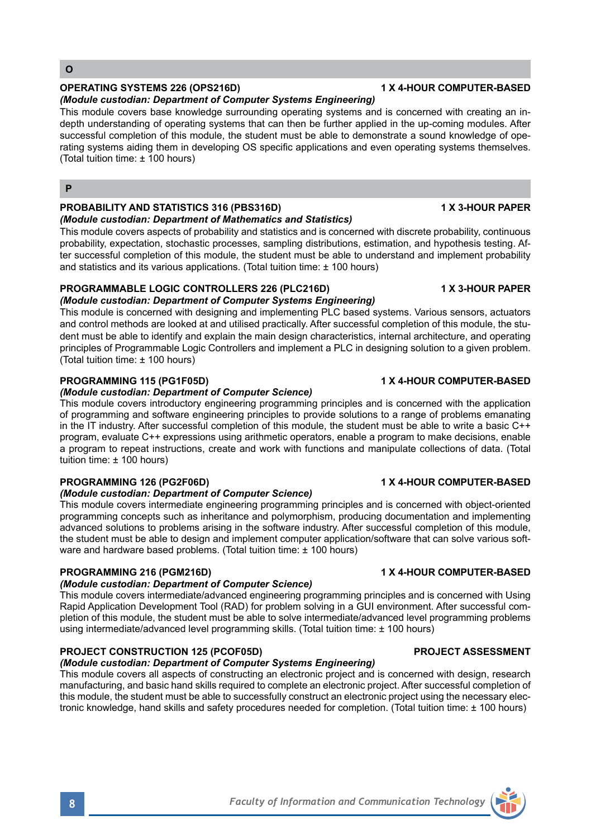# **OPERATING SYSTEMS 226 (OPS216D) 1 X 4-HOUR COMPUTER-BASED**

### *(Module custodian: Department of Computer Systems Engineering)*

This module covers base knowledge surrounding operating systems and is concerned with creating an indepth understanding of operating systems that can then be further applied in the up-coming modules. After successful completion of this module, the student must be able to demonstrate a sound knowledge of operating systems aiding them in developing OS specific applications and even operating systems themselves. (Total tuition time: ± 100 hours)

#### **P**

# **PROBABILITY AND STATISTICS 316 (PBS316D) 1 X 3-HOUR PAPER**

#### *(Module custodian: Department of Mathematics and Statistics)*

This module covers aspects of probability and statistics and is concerned with discrete probability, continuous probability, expectation, stochastic processes, sampling distributions, estimation, and hypothesis testing. After successful completion of this module, the student must be able to understand and implement probability and statistics and its various applications. (Total tuition time: ± 100 hours)

# **PROGRAMMABLE LOGIC CONTROLLERS 226 (PLC216D) 1 X 3-HOUR PAPER**

# *(Module custodian: Department of Computer Systems Engineering)*

This module is concerned with designing and implementing PLC based systems. Various sensors, actuators and control methods are looked at and utilised practically. After successful completion of this module, the student must be able to identify and explain the main design characteristics, internal architecture, and operating principles of Programmable Logic Controllers and implement a PLC in designing solution to a given problem. (Total tuition time: ± 100 hours)

# **PROGRAMMING 115 (PG1F05D) 1 X 4-HOUR COMPUTER-BASED**

### *(Module custodian: Department of Computer Science)*

This module covers introductory engineering programming principles and is concerned with the application of programming and software engineering principles to provide solutions to a range of problems emanating in the IT industry. After successful completion of this module, the student must be able to write a basic C++ program, evaluate C++ expressions using arithmetic operators, enable a program to make decisions, enable a program to repeat instructions, create and work with functions and manipulate collections of data. (Total tuition time: ± 100 hours)

### **PROGRAMMING 126 (PG2F06D) 1 X 4-HOUR COMPUTER-BASED**

### *(Module custodian: Department of Computer Science)*

This module covers intermediate engineering programming principles and is concerned with object-oriented programming concepts such as inheritance and polymorphism, producing documentation and implementing advanced solutions to problems arising in the software industry. After successful completion of this module, the student must be able to design and implement computer application/software that can solve various software and hardware based problems. (Total tuition time: ± 100 hours)

# **PROGRAMMING 216 (PGM216D) 1 X 4-HOUR COMPUTER-BASED**

# *(Module custodian: Department of Computer Science)*

This module covers intermediate/advanced engineering programming principles and is concerned with Using Rapid Application Development Tool (RAD) for problem solving in a GUI environment. After successful completion of this module, the student must be able to solve intermediate/advanced level programming problems using intermediate/advanced level programming skills. (Total tuition time: ± 100 hours)

# **PROJECT CONSTRUCTION 125 (PCOF05D) PROJECT ASSESSMENT**

# *(Module custodian: Department of Computer Systems Engineering)*

This module covers all aspects of constructing an electronic project and is concerned with design, research manufacturing, and basic hand skills required to complete an electronic project. After successful completion of this module, the student must be able to successfully construct an electronic project using the necessary electronic knowledge, hand skills and safety procedures needed for completion. (Total tuition time: ± 100 hours)

![](_page_7_Picture_27.jpeg)